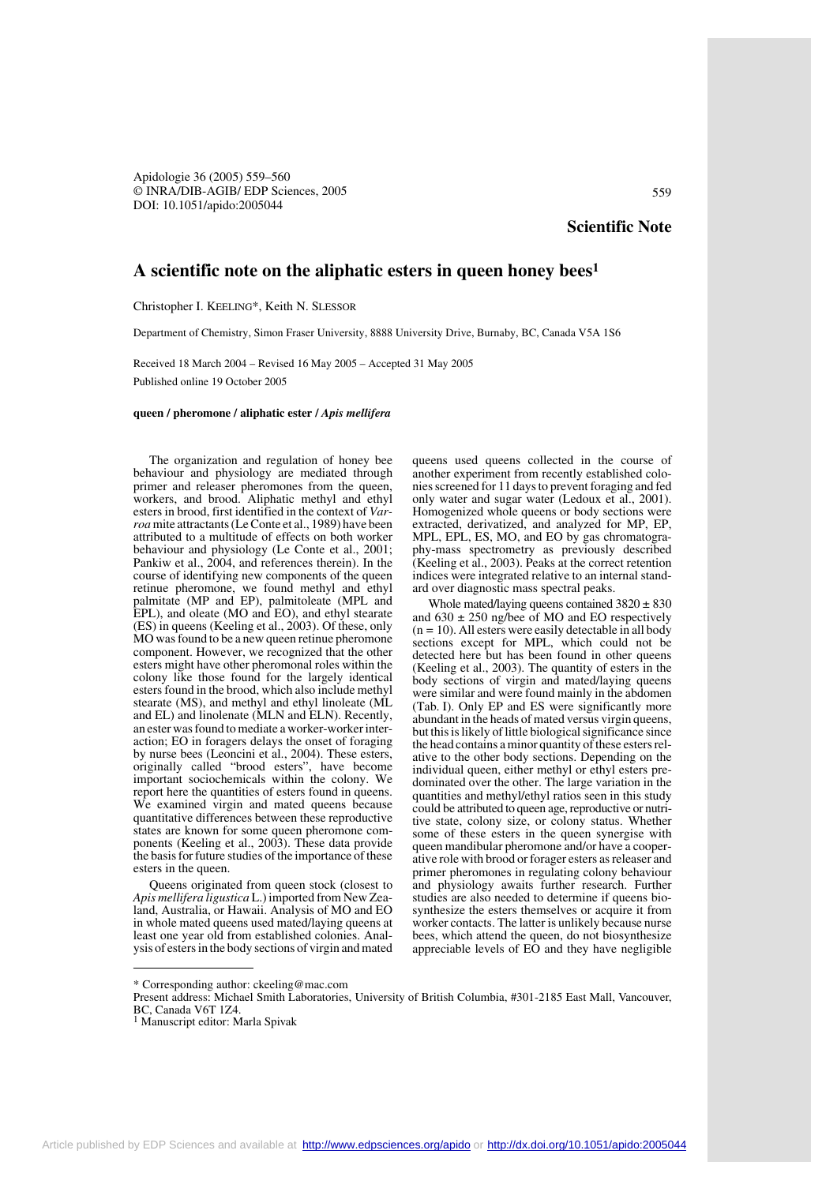Apidologie 36 (2005) 559–560 © INRA/DIB-AGIB/ EDP Sciences, 2005 DOI: 10.1051/apido:2005044

559

# **A scientific note on the aliphatic esters in queen honey bees1**

Christopher I. KEELING\*, Keith N. SLESSOR

Department of Chemistry, Simon Fraser University, 8888 University Drive, Burnaby, BC, Canada V5A 1S6

Received 18 March 2004 – Revised 16 May 2005 – Accepted 31 May 2005

Published online 19 October 2005

### **queen / pheromone / aliphatic ester /** *Apis mellifera*

The organization and regulation of honey bee behaviour and physiology are mediated through primer and releaser pheromones from the queen, workers, and brood. Aliphatic methyl and ethyl esters in brood, first identified in the context of *Varroa* mite attractants (Le Conte et al., 1989) have been attributed to a multitude of effects on both worker behaviour and physiology (Le Conte et al., 2001; Pankiw et al., 2004, and references therein). In the course of identifying new components of the queen retinue pheromone, we found methyl and ethyl palmitate (MP and EP), palmitoleate (MPL and EPL), and oleate (MO and EO), and ethyl stearate (ES) in queens (Keeling et al., 2003). Of these, only MO was found to be a new queen retinue pheromone component. However, we recognized that the other esters might have other pheromonal roles within the colony like those found for the largely identical esters found in the brood, which also include methyl stearate (MS), and methyl and ethyl linoleate (ML and EL) and linolenate (MLN and ELN). Recently, an ester was found to mediate a worker-worker interaction; EO in foragers delays the onset of foraging by nurse bees (Leoncini et al., 2004). These esters, originally called "brood esters", have become important sociochemicals within the colony. We report here the quantities of esters found in queens. We examined virgin and mated queens because quantitative differences between these reproductive states are known for some queen pheromone components (Keeling et al., 2003). These data provide the basis for future studies of the importance of these esters in the queen.

Queens originated from queen stock (closest to *Apis mellifera ligustica* L.) imported from New Zealand, Australia, or Hawaii. Analysis of MO and EO in whole mated queens used mated/laying queens at least one year old from established colonies. Analysis of esters in the body sections of virgin and mated

queens used queens collected in the course of another experiment from recently established colonies screened for 11 days to prevent foraging and fed only water and sugar water (Ledoux et al., 2001). Homogenized whole queens or body sections were extracted, derivatized, and analyzed for MP, EP, MPL, EPL, ES, MO, and EO by gas chromatography-mass spectrometry as previously described (Keeling et al., 2003). Peaks at the correct retention indices were integrated relative to an internal standard over diagnostic mass spectral peaks.

Whole mated/laying queens contained  $3820 \pm 830$ and  $630 \pm 250$  ng/bee of MO and EO respectively  $(n = 10)$ . All esters were easily detectable in all body sections except for MPL, which could not be detected here but has been found in other queens (Keeling et al., 2003). The quantity of esters in the body sections of virgin and mated/laying queens were similar and were found mainly in the abdomen (Tab. I). Only EP and ES were significantly more abundant in the heads of mated versus virgin queens, but this is likely of little biological significance since the head contains a minor quantity of these esters relative to the other body sections. Depending on the individual queen, either methyl or ethyl esters predominated over the other. The large variation in the quantities and methyl/ethyl ratios seen in this study could be attributed to queen age, reproductive or nutritive state, colony size, or colony status. Whether some of these esters in the queen synergise with queen mandibular pheromone and/or have a cooperative role with brood or forager esters as releaser and primer pheromones in regulating colony behaviour and physiology awaits further research. Further studies are also needed to determine if queens biosynthesize the esters themselves or acquire it from worker contacts. The latter is unlikely because nurse bees, which attend the queen, do not biosynthesize appreciable levels of EO and they have negligible

<sup>\*</sup> Corresponding author: ckeeling@mac.com

Present address: Michael Smith Laboratories, University of British Columbia, #301-2185 East Mall, Vancouver, BC, Canada V6T 1Z4.

<sup>1</sup> Manuscript editor: Marla Spivak